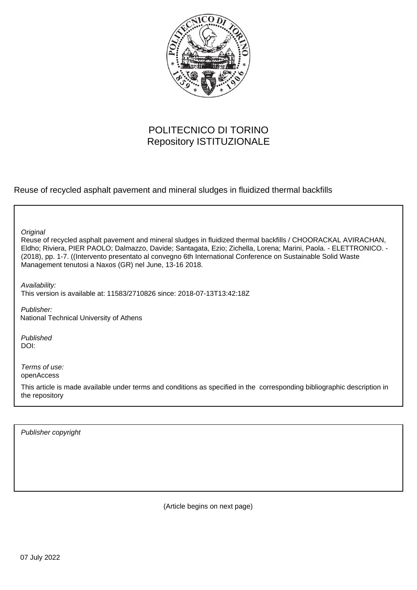

# POLITECNICO DI TORINO Repository ISTITUZIONALE

Reuse of recycled asphalt pavement and mineral sludges in fluidized thermal backfills

**Original** 

Reuse of recycled asphalt pavement and mineral sludges in fluidized thermal backfills / CHOORACKAL AVIRACHAN, Eldho; Riviera, PIER PAOLO; Dalmazzo, Davide; Santagata, Ezio; Zichella, Lorena; Marini, Paola. - ELETTRONICO. - (2018), pp. 1-7. ((Intervento presentato al convegno 6th International Conference on Sustainable Solid Waste Management tenutosi a Naxos (GR) nel June, 13-16 2018.

Availability: This version is available at: 11583/2710826 since: 2018-07-13T13:42:18Z

Publisher: National Technical University of Athens

Published DOI:

Terms of use: openAccess

This article is made available under terms and conditions as specified in the corresponding bibliographic description in the repository

Publisher copyright

(Article begins on next page)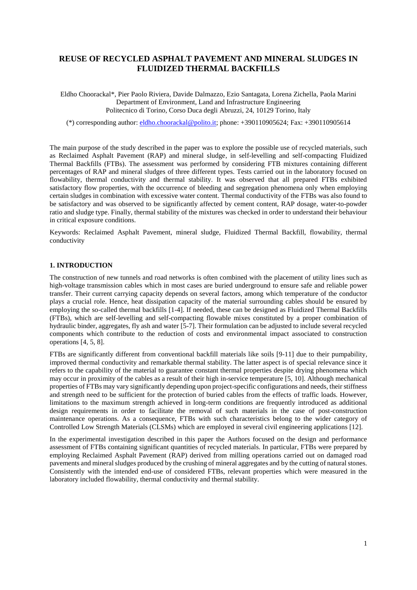# **REUSE OF RECYCLED ASPHALT PAVEMENT AND MINERAL SLUDGES IN FLUIDIZED THERMAL BACKFILLS**

Eldho Choorackal\*, Pier Paolo Riviera, Davide Dalmazzo, Ezio Santagata, Lorena Zichella, Paola Marini Department of Environment, Land and Infrastructure Engineering Politecnico di Torino, Corso Duca degli Abruzzi, 24, 10129 Torino, Italy

(\*) corresponding author: [eldho.choorackal@polito.it;](mailto:eldho.choorackal@polito.it) phone: +390110905624; Fax: +390110905614

The main purpose of the study described in the paper was to explore the possible use of recycled materials, such as Reclaimed Asphalt Pavement (RAP) and mineral sludge, in self-levelling and self-compacting Fluidized Thermal Backfills (FTBs). The assessment was performed by considering FTB mixtures containing different percentages of RAP and mineral sludges of three different types. Tests carried out in the laboratory focused on flowability, thermal conductivity and thermal stability. It was observed that all prepared FTBs exhibited satisfactory flow properties, with the occurrence of bleeding and segregation phenomena only when employing certain sludges in combination with excessive water content. Thermal conductivity of the FTBs was also found to be satisfactory and was observed to be significantly affected by cement content, RAP dosage, water-to-powder ratio and sludge type. Finally, thermal stability of the mixtures was checked in order to understand their behaviour in critical exposure conditions.

Keywords: Reclaimed Asphalt Pavement, mineral sludge, Fluidized Thermal Backfill, flowability, thermal conductivity

#### **1. INTRODUCTION**

The construction of new tunnels and road networks is often combined with the placement of utility lines such as high-voltage transmission cables which in most cases are buried underground to ensure safe and reliable power transfer. Their current carrying capacity depends on several factors, among which temperature of the conductor plays a crucial role. Hence, heat dissipation capacity of the material surrounding cables should be ensured by employing the so-called thermal backfills [1-4]. If needed, these can be designed as Fluidized Thermal Backfills (FTBs), which are self-levelling and self-compacting flowable mixes constituted by a proper combination of hydraulic binder, aggregates, fly ash and water [5-7]. Their formulation can be adjusted to include several recycled components which contribute to the reduction of costs and environmental impact associated to construction operations [4, 5, 8].

FTBs are significantly different from conventional backfill materials like soils [9-11] due to their pumpability, improved thermal conductivity and remarkable thermal stability. The latter aspect is of special relevance since it refers to the capability of the material to guarantee constant thermal properties despite drying phenomena which may occur in proximity of the cables as a result of their high in-service temperature [5, 10]. Although mechanical properties of FTBs may vary significantly depending upon project-specific configurations and needs, their stiffness and strength need to be sufficient for the protection of buried cables from the effects of traffic loads. However, limitations to the maximum strength achieved in long-term conditions are frequently introduced as additional design requirements in order to facilitate the removal of such materials in the case of post-construction maintenance operations. As a consequence, FTBs with such characteristics belong to the wider category of Controlled Low Strength Materials (CLSMs) which are employed in several civil engineering applications [12].

In the experimental investigation described in this paper the Authors focused on the design and performance assessment of FTBs containing significant quantities of recycled materials. In particular, FTBs were prepared by employing Reclaimed Asphalt Pavement (RAP) derived from milling operations carried out on damaged road pavements and mineral sludges produced by the crushing of mineral aggregates and by the cutting of natural stones. Consistently with the intended end-use of considered FTBs, relevant properties which were measured in the laboratory included flowability, thermal conductivity and thermal stability.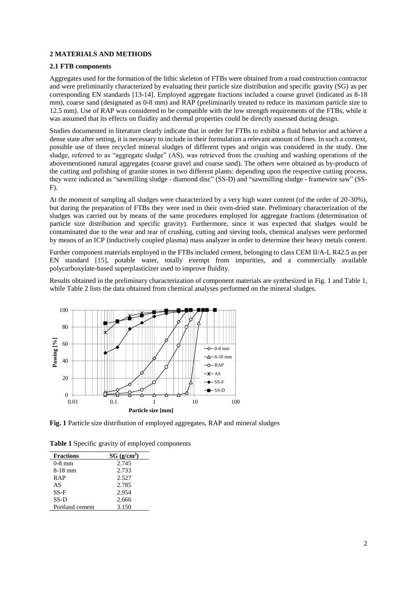# **2 MATERIALS AND METHODS**

#### **2.1 FTB components**

Aggregates used for the formation of the lithic skeleton of FTBs were obtained from a road construction contractor and were preliminarily characterized by evaluating their particle size distribution and specific gravity (SG) as per corresponding EN standards [13-14]. Employed aggregate fractions included a coarse gravel (indicated as 8-18 mm), coarse sand (designated as 0-8 mm) and RAP (preliminarily treated to reduce its maximum particle size to 12.5 mm). Use of RAP was considered to be compatible with the low strength requirements of the FTBs, while it was assumed that its effects on fluidity and thermal properties could be directly assessed during design.

Studies documented in literature clearly indicate that in order for FTBs to exhibit a fluid behavior and achieve a dense state after setting, it is necessary to include in their formulation a relevant amount of fines. In such a context, possible use of three recycled mineral sludges of different types and origin was considered in the study. One sludge, referred to as "aggregate sludge" (AS), was retrieved from the crushing and washing operations of the abovementioned natural aggregates (coarse gravel and coarse sand). The others were obtained as by-products of the cutting and polishing of granite stones in two different plants: depending upon the respective cutting process, they were indicated as "sawmilling sludge - diamond disc" (SS-D) and "sawmilling sludge - framewire saw" (SS-F).

At the moment of sampling all sludges were characterized by a very high water content (of the order of 20-30%), but during the preparation of FTBs they were used in their oven-dried state. Preliminary characterization of the sludges was carried out by means of the same procedures employed for aggregate fractions (determination of particle size distribution and specific gravity). Furthermore, since it was expected that sludges would be contaminated due to the wear and tear of crushing, cutting and sieving tools, chemical analyses were performed by means of an ICP (inductively coupled plasma) mass analyzer in order to determine their heavy metals content.

Further component materials employed in the FTBs included cement, belonging to class CEM II/A-L R42.5 as per EN standard [15], potable water, totally exempt from impurities, and a commercially available polycarboxylate-based superplasticizer used to improve fluidity.

Results obtained in the preliminary characterization of component materials are synthesized in Fig. 1 and Table 1, while Table 2 lists the data obtained from chemical analyses performed on the mineral sludges.



**Fig. 1** Particle size distribution of employed aggregates, RAP and mineral sludges

**Table 1** Specific gravity of employed components

| <b>Fractions</b> | SG (g/cm <sup>3</sup> ) |
|------------------|-------------------------|
| $0-8$ mm         | 2.745                   |
| 8-18 mm          | 2.733                   |
| <b>RAP</b>       | 2.527                   |
| AS               | 2.785                   |
| $SS-F$           | 2.954                   |
| $SS-D$           | 2.666                   |
| Portland cement  | 3.150                   |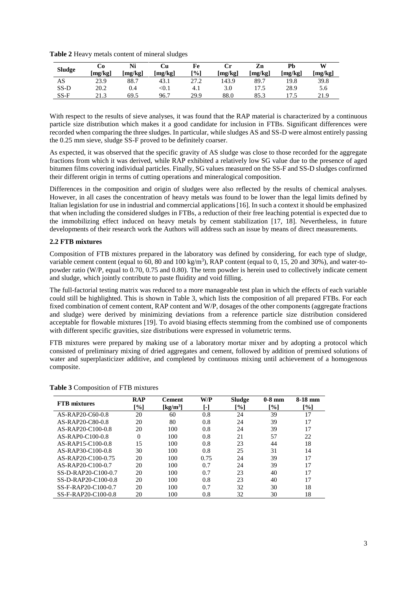**Table 2** Heavy metals content of mineral sludges

| <b>Sludge</b> | Co<br>[mg/kg] | Ni<br>[mg/kg] | Cи<br>[mg/kg] | Fe<br>[%] | Сr<br>[mg/kg] | Zn<br>[mg/kg] | Ph<br>[mg/kg] | W<br>[mg/kg] |
|---------------|---------------|---------------|---------------|-----------|---------------|---------------|---------------|--------------|
| AS            | 23.9          | 88.7          | 43.1          | 27.2      | 143.9         | 89.7          | 19.8          | 39.8         |
| $SS-D$        | 20.2          | 0.4           | < 0.1         | 4.1       | 3.0           | 17.5          | 28.9          | 5.6          |
| $SS-F$        | 21.3          | 69.5          | 96.7          | 29.9      | 88.0          | 85.3          |               | 21.9         |

With respect to the results of sieve analyses, it was found that the RAP material is characterized by a continuous particle size distribution which makes it a good candidate for inclusion in FTBs. Significant differences were recorded when comparing the three sludges. In particular, while sludges AS and SS-D were almost entirely passing the 0.25 mm sieve, sludge SS-F proved to be definitely coarser.

As expected, it was observed that the specific gravity of AS sludge was close to those recorded for the aggregate fractions from which it was derived, while RAP exhibited a relatively low SG value due to the presence of aged bitumen films covering individual particles. Finally, SG values measured on the SS-F and SS-D sludges confirmed their different origin in terms of cutting operations and mineralogical composition.

Differences in the composition and origin of sludges were also reflected by the results of chemical analyses. However, in all cases the concentration of heavy metals was found to be lower than the legal limits defined by Italian legislation for use in industrial and commercial applications [16]. In such a context it should be emphasized that when including the considered sludges in FTBs, a reduction of their free leaching potential is expected due to the immobilizing effect induced on heavy metals by cement stabilization [17, 18]. Nevertheless, in future developments of their research work the Authors will address such an issue by means of direct measurements.

# **2.2 FTB mixtures**

Composition of FTB mixtures prepared in the laboratory was defined by considering, for each type of sludge, variable cement content (equal to 60, 80 and 100 kg/m<sup>3</sup>), RAP content (equal to 0, 15, 20 and 30%), and water-topowder ratio (W/P, equal to 0.70, 0.75 and 0.80). The term powder is herein used to collectively indicate cement and sludge, which jointly contribute to paste fluidity and void filling.

The full-factorial testing matrix was reduced to a more manageable test plan in which the effects of each variable could still be highlighted. This is shown in Table 3, which lists the composition of all prepared FTBs. For each fixed combination of cement content, RAP content and W/P, dosages of the other components (aggregate fractions and sludge) were derived by minimizing deviations from a reference particle size distribution considered acceptable for flowable mixtures [19]. To avoid biasing effects stemming from the combined use of components with different specific gravities, size distributions were expressed in volumetric terms.

FTB mixtures were prepared by making use of a laboratory mortar mixer and by adopting a protocol which consisted of preliminary mixing of dried aggregates and cement, followed by addition of premixed solutions of water and superplasticizer additive, and completed by continuous mixing until achievement of a homogenous composite.

| <b>FTB</b> mixtures | <b>RAP</b> | <b>Cement</b>        | W/P  | <b>Sludge</b> | $0-8$ mm | 8-18 mm |
|---------------------|------------|----------------------|------|---------------|----------|---------|
|                     | [%]        | [kg/m <sup>3</sup> ] | [-]  | [%]           | [%]      | [%]     |
| AS-RAP20-C60-0.8    | 20         | 60                   | 0.8  | 24            | 39       | 17      |
| AS-RAP20-C80-0.8    | 20         | 80                   | 0.8  | 24            | 39       | 17      |
| $AS-RAP20-C100-0.8$ | 20         | 100                  | 0.8  | 24            | 39       | 17      |
| AS-RAP0-C100-0.8    | $\Omega$   | 100                  | 0.8  | 21            | 57       | 22      |
| AS-RAP15-C100-0.8   | 15         | 100                  | 0.8  | 23            | 44       | 18      |
| $AS-RAP30-C100-0.8$ | 30         | 100                  | 0.8  | 25            | 31       | 14      |
| AS-RAP20-C100-0.75  | 20         | 100                  | 0.75 | 24            | 39       | 17      |
| AS-RAP20-C100-0.7   | 20         | 100                  | 0.7  | 24            | 39       | 17      |
| SS-D-RAP20-C100-0.7 | 20         | 100                  | 0.7  | 23            | 40       | 17      |
| SS-D-RAP20-C100-0.8 | 20         | 100                  | 0.8  | 23            | 40       | 17      |
| SS-F-RAP20-C100-0.7 | 20         | 100                  | 0.7  | 32            | 30       | 18      |
| SS-F-RAP20-C100-0.8 | 20         | 100                  | 0.8  | 32            | 30       | 18      |

**Table 3** Composition of FTB mixtures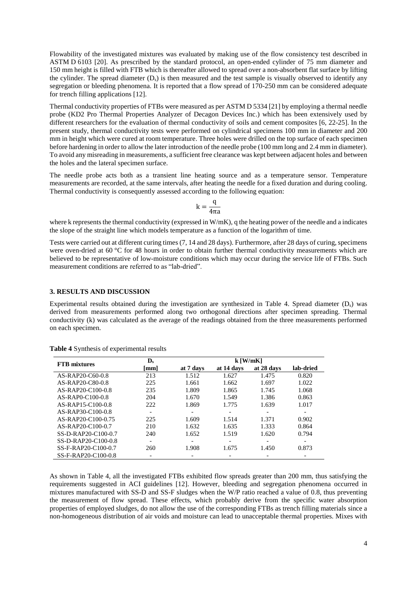Flowability of the investigated mixtures was evaluated by making use of the flow consistency test described in ASTM D 6103 [20]. As prescribed by the standard protocol, an open-ended cylinder of 75 mm diameter and 150 mm height is filled with FTB which is thereafter allowed to spread over a non-absorbent flat surface by lifting the cylinder. The spread diameter  $(D_s)$  is then measured and the test sample is visually observed to identify any segregation or bleeding phenomena. It is reported that a flow spread of 170-250 mm can be considered adequate for trench filling applications [12].

Thermal conductivity properties of FTBs were measured as per ASTM D 5334 [21] by employing a thermal needle probe (KD2 Pro Thermal Properties Analyzer of Decagon Devices Inc.) which has been extensively used by different researchers for the evaluation of thermal conductivity of soils and cement composites [6, 22-25]. In the present study, thermal conductivity tests were performed on cylindrical specimens 100 mm in diameter and 200 mm in height which were cured at room temperature. Three holes were drilled on the top surface of each specimen before hardening in order to allow the later introduction of the needle probe (100 mm long and 2.4 mm in diameter). To avoid any misreading in measurements, a sufficient free clearance was kept between adjacent holes and between the holes and the lateral specimen surface.

The needle probe acts both as a transient line heating source and as a temperature sensor. Temperature measurements are recorded, at the same intervals, after heating the needle for a fixed duration and during cooling. Thermal conductivity is consequently assessed according to the following equation:

$$
k=\frac{q}{4\pi a}
$$

where k represents the thermal conductivity (expressed in W/mK), q the heating power of the needle and a indicates the slope of the straight line which models temperature as a function of the logarithm of time.

Tests were carried out at different curing times(7, 14 and 28 days). Furthermore, after 28 days of curing, specimens were oven-dried at 60 °C for 48 hours in order to obtain further thermal conductivity measurements which are believed to be representative of low-moisture conditions which may occur during the service life of FTBs. Such measurement conditions are referred to as "lab-dried".

# **3. RESULTS AND DISCUSSION**

Experimental results obtained during the investigation are synthesized in Table 4. Spread diameter  $(D<sub>s</sub>)$  was derived from measurements performed along two orthogonal directions after specimen spreading. Thermal conductivity (k) was calculated as the average of the readings obtained from the three measurements performed on each specimen.

| <b>FTB</b> mixtures | $\mathbf{D}_s$ | $k$ [W/mK] |            |            |           |  |
|---------------------|----------------|------------|------------|------------|-----------|--|
|                     | [mm]           | at 7 days  | at 14 days | at 28 days | lab-dried |  |
| AS-RAP20-C60-0.8    | 213            | 1.512      | 1.627      | 1.475      | 0.820     |  |
| AS-RAP20-C80-0.8    | 225            | 1.661      | 1.662      | 1.697      | 1.022     |  |
| AS-RAP20-C100-0.8   | 235            | 1.809      | 1.865      | 1.745      | 1.068     |  |
| $AS-RAP0-C100-0.8$  | 204            | 1.670      | 1.549      | 1.386      | 0.863     |  |
| AS-RAP15-C100-0.8   | 222            | 1.869      | 1.775      | 1.639      | 1.017     |  |
| AS-RAP30-C100-0.8   |                | -          |            |            |           |  |
| AS-RAP20-C100-0.75  | 225            | 1.609      | 1.514      | 1.371      | 0.902     |  |
| AS-RAP20-C100-0.7   | 210            | 1.632      | 1.635      | 1.333      | 0.864     |  |
| SS-D-RAP20-C100-0.7 | 240            | 1.652      | 1.519      | 1.620      | 0.794     |  |
| SS-D-RAP20-C100-0.8 |                |            |            |            |           |  |
| SS-F-RAP20-C100-0.7 | 260            | 1.908      | 1.675      | 1.450      | 0.873     |  |
| SS-F-RAP20-C100-0.8 |                |            |            |            |           |  |

**Table 4** Synthesis of experimental results

As shown in Table 4, all the investigated FTBs exhibited flow spreads greater than 200 mm, thus satisfying the requirements suggested in ACI guidelines [12]. However, bleeding and segregation phenomena occurred in mixtures manufactured with SS-D and SS-F sludges when the W/P ratio reached a value of 0.8, thus preventing the measurement of flow spread. These effects, which probably derive from the specific water absorption properties of employed sludges, do not allow the use of the corresponding FTBs as trench filling materials since a non-homogeneous distribution of air voids and moisture can lead to unacceptable thermal properties. Mixes with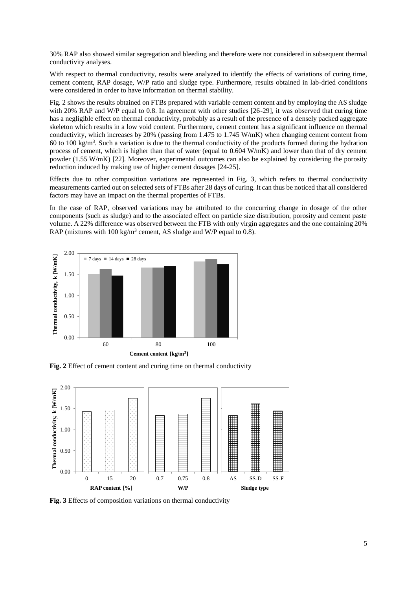30% RAP also showed similar segregation and bleeding and therefore were not considered in subsequent thermal conductivity analyses.

With respect to thermal conductivity, results were analyzed to identify the effects of variations of curing time, cement content, RAP dosage, W/P ratio and sludge type. Furthermore, results obtained in lab-dried conditions were considered in order to have information on thermal stability.

Fig. 2 shows the results obtained on FTBs prepared with variable cement content and by employing the AS sludge with 20% RAP and W/P equal to 0.8. In agreement with other studies [26-29], it was observed that curing time has a negligible effect on thermal conductivity, probably as a result of the presence of a densely packed aggregate skeleton which results in a low void content. Furthermore, cement content has a significant influence on thermal conductivity, which increases by 20% (passing from 1.475 to 1.745 W/mK) when changing cement content from 60 to 100 kg/m<sup>3</sup>. Such a variation is due to the thermal conductivity of the products formed during the hydration process of cement, which is higher than that of water (equal to 0.604 W/mK) and lower than that of dry cement powder (1.55 W/mK) [22]. Moreover, experimental outcomes can also be explained by considering the porosity reduction induced by making use of higher cement dosages [24-25].

Effects due to other composition variations are represented in Fig. 3, which refers to thermal conductivity measurements carried out on selected sets of FTBs after 28 days of curing. It can thus be noticed that all considered factors may have an impact on the thermal properties of FTBs.

In the case of RAP, observed variations may be attributed to the concurring change in dosage of the other components (such as sludge) and to the associated effect on particle size distribution, porosity and cement paste volume. A 22% difference was observed between the FTB with only virgin aggregates and the one containing 20% RAP (mixtures with 100 kg/m<sup>3</sup> cement, AS sludge and W/P equal to 0.8).



**Fig. 2** Effect of cement content and curing time on thermal conductivity



**Fig. 3** Effects of composition variations on thermal conductivity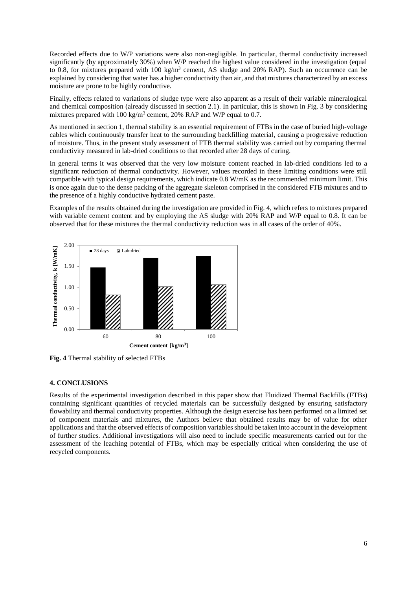Recorded effects due to W/P variations were also non-negligible. In particular, thermal conductivity increased significantly (by approximately 30%) when W/P reached the highest value considered in the investigation (equal to 0.8, for mixtures prepared with  $100 \text{ kg/m}^3$  cement, AS sludge and 20% RAP). Such an occurrence can be explained by considering that water has a higher conductivity than air, and that mixtures characterized by an excess moisture are prone to be highly conductive.

Finally, effects related to variations of sludge type were also apparent as a result of their variable mineralogical and chemical composition (already discussed in section 2.1). In particular, this is shown in Fig. 3 by considering mixtures prepared with  $100 \text{ kg/m}^3$  cement,  $20\%$  RAP and W/P equal to 0.7.

As mentioned in section 1, thermal stability is an essential requirement of FTBs in the case of buried high-voltage cables which continuously transfer heat to the surrounding backfilling material, causing a progressive reduction of moisture. Thus, in the present study assessment of FTB thermal stability was carried out by comparing thermal conductivity measured in lab-dried conditions to that recorded after 28 days of curing.

In general terms it was observed that the very low moisture content reached in lab-dried conditions led to a significant reduction of thermal conductivity. However, values recorded in these limiting conditions were still compatible with typical design requirements, which indicate 0.8 W/mK as the recommended minimum limit. This is once again due to the dense packing of the aggregate skeleton comprised in the considered FTB mixtures and to the presence of a highly conductive hydrated cement paste.

Examples of the results obtained during the investigation are provided in Fig. 4, which refers to mixtures prepared with variable cement content and by employing the AS sludge with 20% RAP and W/P equal to 0.8. It can be observed that for these mixtures the thermal conductivity reduction was in all cases of the order of 40%.



**Fig. 4** Thermal stability of selected FTBs

# **4. CONCLUSIONS**

Results of the experimental investigation described in this paper show that Fluidized Thermal Backfills (FTBs) containing significant quantities of recycled materials can be successfully designed by ensuring satisfactory flowability and thermal conductivity properties. Although the design exercise has been performed on a limited set of component materials and mixtures, the Authors believe that obtained results may be of value for other applications and that the observed effects of composition variables should be taken into account in the development of further studies. Additional investigations will also need to include specific measurements carried out for the assessment of the leaching potential of FTBs, which may be especially critical when considering the use of recycled components.